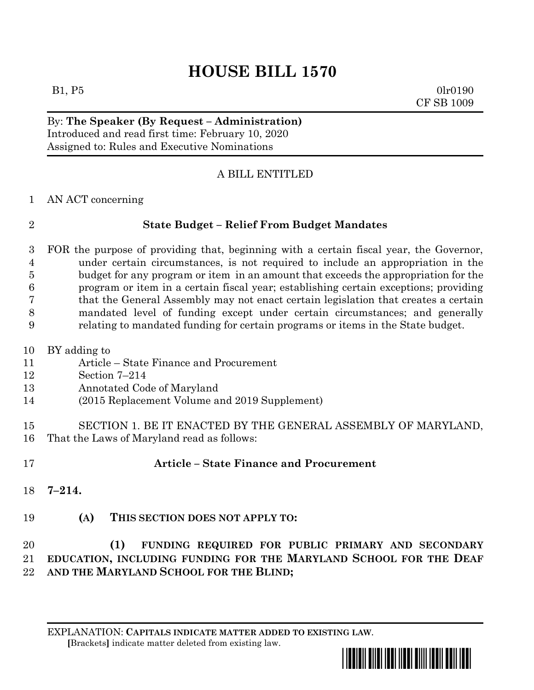# **HOUSE BILL 1570**

 $B1, P5$  0lr0190 CF SB 1009

#### By: **The Speaker (By Request – Administration)** Introduced and read first time: February 10, 2020 Assigned to: Rules and Executive Nominations

## A BILL ENTITLED

AN ACT concerning

| I |  |
|---|--|
|   |  |
|   |  |
|   |  |

## **State Budget – Relief From Budget Mandates**

 FOR the purpose of providing that, beginning with a certain fiscal year, the Governor, under certain circumstances, is not required to include an appropriation in the budget for any program or item in an amount that exceeds the appropriation for the program or item in a certain fiscal year; establishing certain exceptions; providing that the General Assembly may not enact certain legislation that creates a certain mandated level of funding except under certain circumstances; and generally relating to mandated funding for certain programs or items in the State budget.

- BY adding to
- Article State Finance and Procurement
- Section 7–214
- Annotated Code of Maryland
- (2015 Replacement Volume and 2019 Supplement)
- SECTION 1. BE IT ENACTED BY THE GENERAL ASSEMBLY OF MARYLAND, That the Laws of Maryland read as follows:
- 

#### **Article – State Finance and Procurement**

- **7–214.**
- **(A) THIS SECTION DOES NOT APPLY TO:**

 **(1) FUNDING REQUIRED FOR PUBLIC PRIMARY AND SECONDARY EDUCATION, INCLUDING FUNDING FOR THE MARYLAND SCHOOL FOR THE DEAF AND THE MARYLAND SCHOOL FOR THE BLIND;**

EXPLANATION: **CAPITALS INDICATE MATTER ADDED TO EXISTING LAW**.  **[**Brackets**]** indicate matter deleted from existing law.